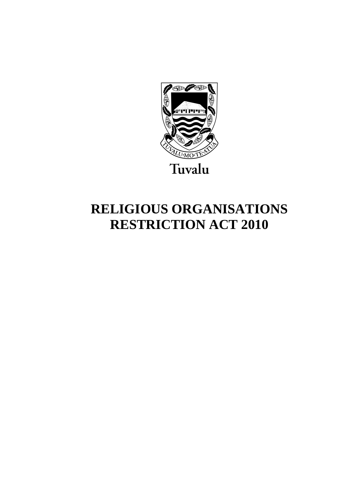

# **RELIGIOUS ORGANISATIONS RESTRICTION ACT 2010**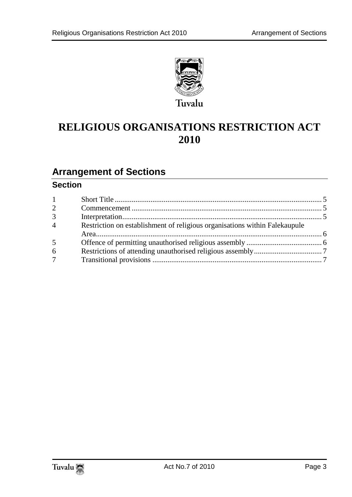

# **RELIGIOUS ORGANISATIONS RESTRICTION ACT 2010**

# **Arrangement of Sections**

## **Section**

| $1 -$           |                                                                            |  |
|-----------------|----------------------------------------------------------------------------|--|
| $\overline{2}$  |                                                                            |  |
| 3 <sup>1</sup>  |                                                                            |  |
| $\overline{4}$  | Restriction on establishment of religious organisations within Falekaupule |  |
|                 |                                                                            |  |
| 5               |                                                                            |  |
| 6               |                                                                            |  |
| $7\overline{ }$ |                                                                            |  |
|                 |                                                                            |  |

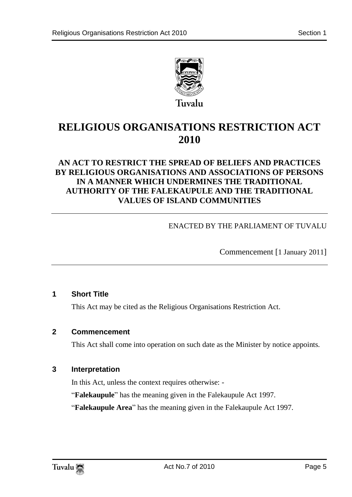

# **RELIGIOUS ORGANISATIONS RESTRICTION ACT 2010**

## **AN ACT TO RESTRICT THE SPREAD OF BELIEFS AND PRACTICES BY RELIGIOUS ORGANISATIONS AND ASSOCIATIONS OF PERSONS IN A MANNER WHICH UNDERMINES THE TRADITIONAL AUTHORITY OF THE FALEKAUPULE AND THE TRADITIONAL VALUES OF ISLAND COMMUNITIES**

### ENACTED BY THE PARLIAMENT OF TUVALU

Commencement [1 January 2011]

#### <span id="page-4-0"></span>**1 Short Title**

This Act may be cited as the Religious Organisations Restriction Act.

#### <span id="page-4-1"></span>**2 Commencement**

This Act shall come into operation on such date as the Minister by notice appoints.

#### <span id="page-4-2"></span>**3 Interpretation**

In this Act, unless the context requires otherwise: -

"**Falekaupule**" has the meaning given in the Falekaupule Act 1997.

"**Falekaupule Area**" has the meaning given in the Falekaupule Act 1997.

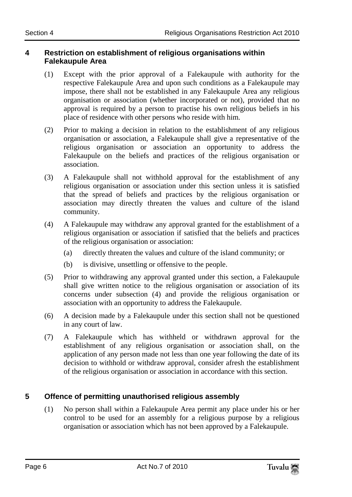#### <span id="page-5-0"></span>**4 Restriction on establishment of religious organisations within Falekaupule Area**

- (1) Except with the prior approval of a Falekaupule with authority for the respective Falekaupule Area and upon such conditions as a Falekaupule may impose, there shall not be established in any Falekaupule Area any religious organisation or association (whether incorporated or not), provided that no approval is required by a person to practise his own religious beliefs in his place of residence with other persons who reside with him.
- (2) Prior to making a decision in relation to the establishment of any religious organisation or association, a Falekaupule shall give a representative of the religious organisation or association an opportunity to address the Falekaupule on the beliefs and practices of the religious organisation or association.
- (3) A Falekaupule shall not withhold approval for the establishment of any religious organisation or association under this section unless it is satisfied that the spread of beliefs and practices by the religious organisation or association may directly threaten the values and culture of the island community.
- (4) A Falekaupule may withdraw any approval granted for the establishment of a religious organisation or association if satisfied that the beliefs and practices of the religious organisation or association:
	- (a) directly threaten the values and culture of the island community; or
	- (b) is divisive, unsettling or offensive to the people.
- (5) Prior to withdrawing any approval granted under this section, a Falekaupule shall give written notice to the religious organisation or association of its concerns under subsection (4) and provide the religious organisation or association with an opportunity to address the Falekaupule.
- (6) A decision made by a Falekaupule under this section shall not be questioned in any court of law.
- (7) A Falekaupule which has withheld or withdrawn approval for the establishment of any religious organisation or association shall, on the application of any person made not less than one year following the date of its decision to withhold or withdraw approval, consider afresh the establishment of the religious organisation or association in accordance with this section.

# <span id="page-5-1"></span>**5 Offence of permitting unauthorised religious assembly**

(1) No person shall within a Falekaupule Area permit any place under his or her control to be used for an assembly for a religious purpose by a religious organisation or association which has not been approved by a Falekaupule.